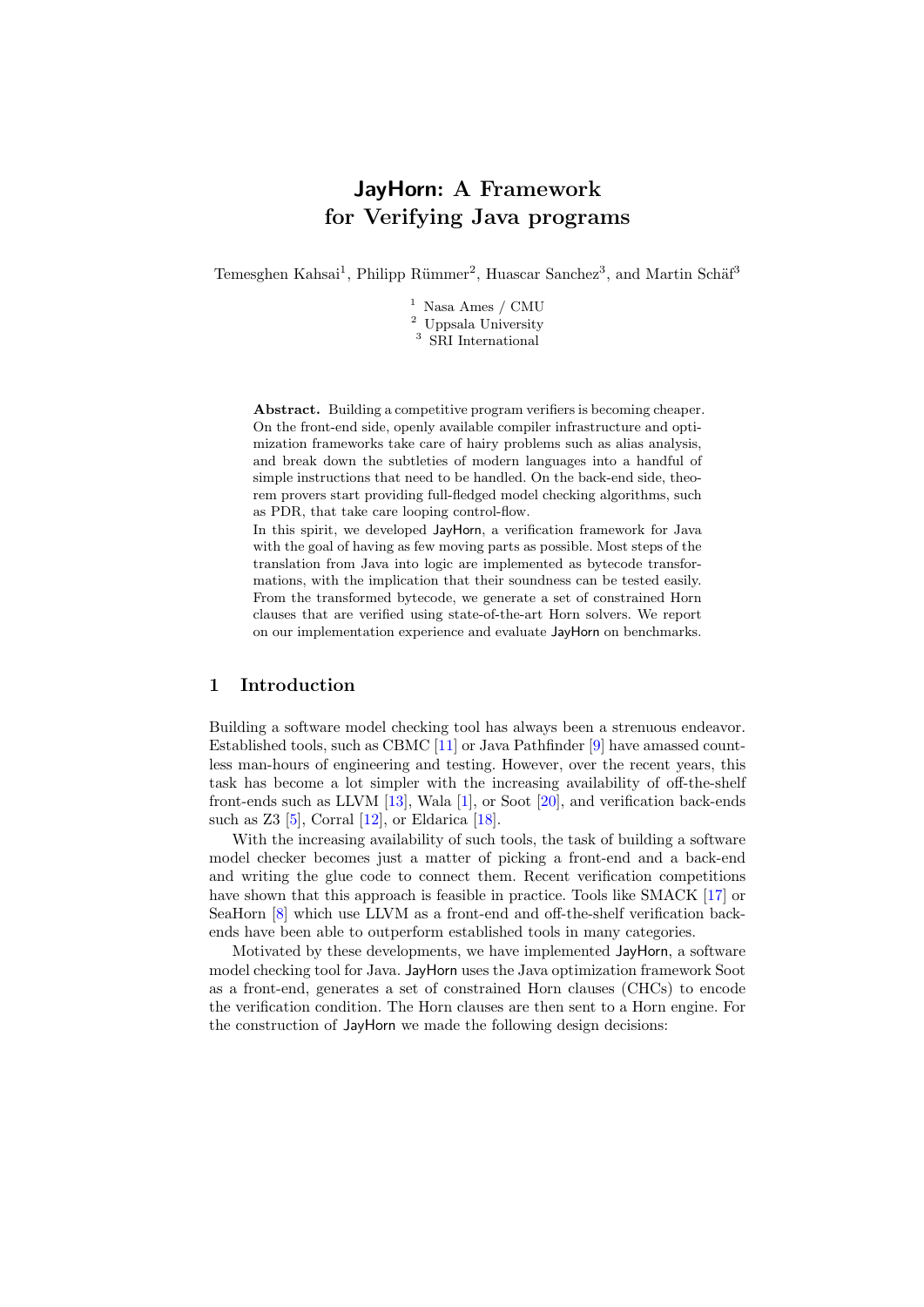# JayHorn: A Framework for Verifying Java programs

Temesghen Kahsai<sup>1</sup>, Philipp Rümmer<sup>2</sup>, Huascar Sanchez<sup>3</sup>, and Martin Schäf<sup>3</sup>

 $^1\,$ Nasa Ames / CMU <sup>2</sup> Uppsala University <sup>3</sup> SRI International

Abstract. Building a competitive program verifiers is becoming cheaper. On the front-end side, openly available compiler infrastructure and optimization frameworks take care of hairy problems such as alias analysis, and break down the subtleties of modern languages into a handful of simple instructions that need to be handled. On the back-end side, theorem provers start providing full-fledged model checking algorithms, such as PDR, that take care looping control-flow.

In this spirit, we developed JayHorn, a verification framework for Java with the goal of having as few moving parts as possible. Most steps of the translation from Java into logic are implemented as bytecode transformations, with the implication that their soundness can be tested easily. From the transformed bytecode, we generate a set of constrained Horn clauses that are verified using state-of-the-art Horn solvers. We report on our implementation experience and evaluate JayHorn on benchmarks.

#### 1 Introduction

Building a software model checking tool has always been a strenuous endeavor. Established tools, such as CBMC [\[11\]](#page-6-0) or Java Pathfinder [\[9\]](#page-6-1) have amassed countless man-hours of engineering and testing. However, over the recent years, this task has become a lot simpler with the increasing availability of off-the-shelf front-ends such as LLVM [\[13\]](#page-6-2), Wala [\[1\]](#page-5-0), or Soot [\[20\]](#page-6-3), and verification back-ends such as  $Z3$  [\[5\]](#page-5-1), Corral [\[12\]](#page-6-4), or Eldarica [\[18\]](#page-6-5).

With the increasing availability of such tools, the task of building a software model checker becomes just a matter of picking a front-end and a back-end and writing the glue code to connect them. Recent verification competitions have shown that this approach is feasible in practice. Tools like SMACK [\[17\]](#page-6-6) or SeaHorn [\[8\]](#page-6-7) which use LLVM as a front-end and off-the-shelf verification backends have been able to outperform established tools in many categories.

Motivated by these developments, we have implemented JayHorn, a software model checking tool for Java. JayHorn uses the Java optimization framework Soot as a front-end, generates a set of constrained Horn clauses (CHCs) to encode the verification condition. The Horn clauses are then sent to a Horn engine. For the construction of JayHorn we made the following design decisions: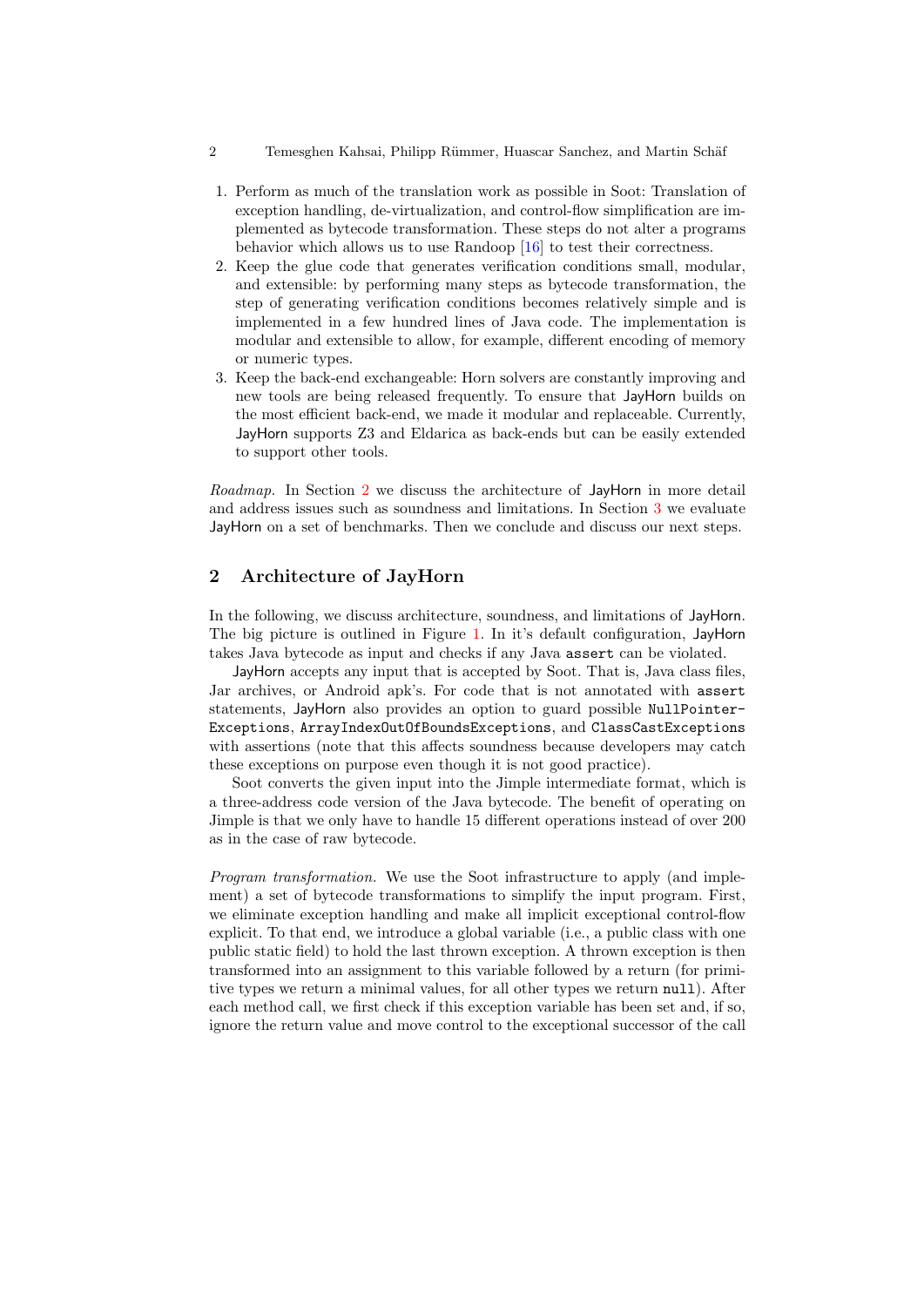- 2 Temesghen Kahsai, Philipp Rümmer, Huascar Sanchez, and Martin Schäf
- 1. Perform as much of the translation work as possible in Soot: Translation of exception handling, de-virtualization, and control-flow simplification are implemented as bytecode transformation. These steps do not alter a programs behavior which allows us to use Randoop [\[16\]](#page-6-8) to test their correctness.
- 2. Keep the glue code that generates verification conditions small, modular, and extensible: by performing many steps as bytecode transformation, the step of generating verification conditions becomes relatively simple and is implemented in a few hundred lines of Java code. The implementation is modular and extensible to allow, for example, different encoding of memory or numeric types.
- 3. Keep the back-end exchangeable: Horn solvers are constantly improving and new tools are being released frequently. To ensure that JayHorn builds on the most efficient back-end, we made it modular and replaceable. Currently, JayHorn supports Z3 and Eldarica as back-ends but can be easily extended to support other tools.

Roadmap. In Section [2](#page-1-0) we discuss the architecture of JayHorn in more detail and address issues such as soundness and limitations. In Section [3](#page-4-0) we evaluate JayHorn on a set of benchmarks. Then we conclude and discuss our next steps.

## <span id="page-1-0"></span>2 Architecture of JayHorn

In the following, we discuss architecture, soundness, and limitations of JayHorn. The big picture is outlined in Figure [1.](#page-2-0) In it's default configuration, JayHorn takes Java bytecode as input and checks if any Java assert can be violated.

JayHorn accepts any input that is accepted by Soot. That is, Java class files, Jar archives, or Android apk's. For code that is not annotated with assert statements, JayHorn also provides an option to guard possible NullPointer-Exceptions, ArrayIndexOutOfBoundsExceptions, and ClassCastExceptions with assertions (note that this affects soundness because developers may catch these exceptions on purpose even though it is not good practice).

Soot converts the given input into the Jimple intermediate format, which is a three-address code version of the Java bytecode. The benefit of operating on Jimple is that we only have to handle 15 different operations instead of over 200 as in the case of raw bytecode.

Program transformation. We use the Soot infrastructure to apply (and implement) a set of bytecode transformations to simplify the input program. First, we eliminate exception handling and make all implicit exceptional control-flow explicit. To that end, we introduce a global variable (i.e., a public class with one public static field) to hold the last thrown exception. A thrown exception is then transformed into an assignment to this variable followed by a return (for primitive types we return a minimal values, for all other types we return null). After each method call, we first check if this exception variable has been set and, if so, ignore the return value and move control to the exceptional successor of the call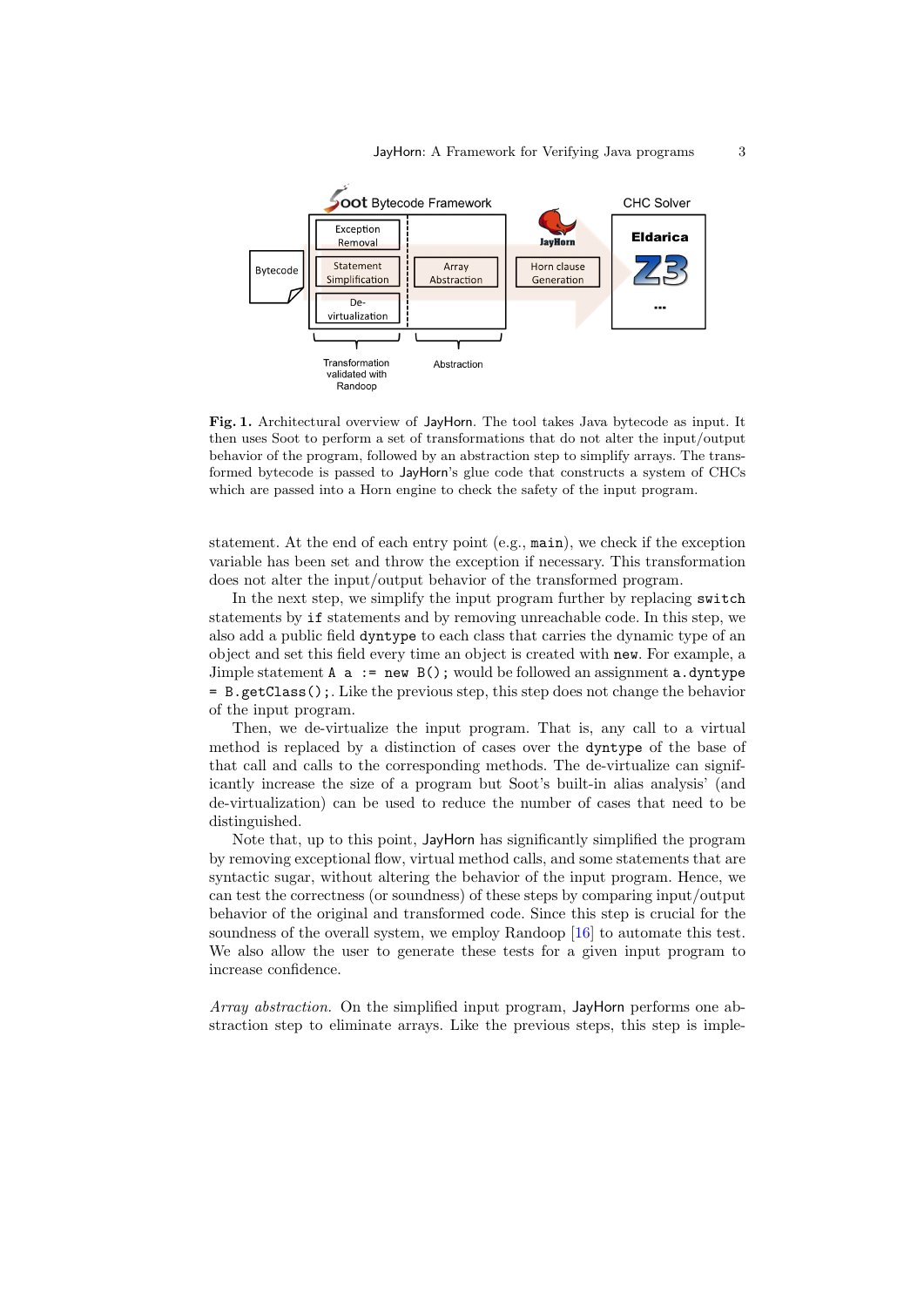

<span id="page-2-0"></span>Fig. 1. Architectural overview of JayHorn. The tool takes Java bytecode as input. It then uses Soot to perform a set of transformations that do not alter the input/output behavior of the program, followed by an abstraction step to simplify arrays. The transformed bytecode is passed to JayHorn's glue code that constructs a system of CHCs which are passed into a Horn engine to check the safety of the input program.

statement. At the end of each entry point (e.g., main), we check if the exception variable has been set and throw the exception if necessary. This transformation does not alter the input/output behavior of the transformed program.

In the next step, we simplify the input program further by replacing switch statements by if statements and by removing unreachable code. In this step, we also add a public field dyntype to each class that carries the dynamic type of an object and set this field every time an object is created with new. For example, a Jimple statement  $A$   $a := new B()$ ; would be followed an assignment  $a$ . dyntype = B.getClass();. Like the previous step, this step does not change the behavior of the input program.

Then, we de-virtualize the input program. That is, any call to a virtual method is replaced by a distinction of cases over the dyntype of the base of that call and calls to the corresponding methods. The de-virtualize can significantly increase the size of a program but Soot's built-in alias analysis' (and de-virtualization) can be used to reduce the number of cases that need to be distinguished.

Note that, up to this point, JayHorn has significantly simplified the program by removing exceptional flow, virtual method calls, and some statements that are syntactic sugar, without altering the behavior of the input program. Hence, we can test the correctness (or soundness) of these steps by comparing input/output behavior of the original and transformed code. Since this step is crucial for the soundness of the overall system, we employ Randoop [\[16\]](#page-6-8) to automate this test. We also allow the user to generate these tests for a given input program to increase confidence.

Array abstraction. On the simplified input program, JayHorn performs one abstraction step to eliminate arrays. Like the previous steps, this step is imple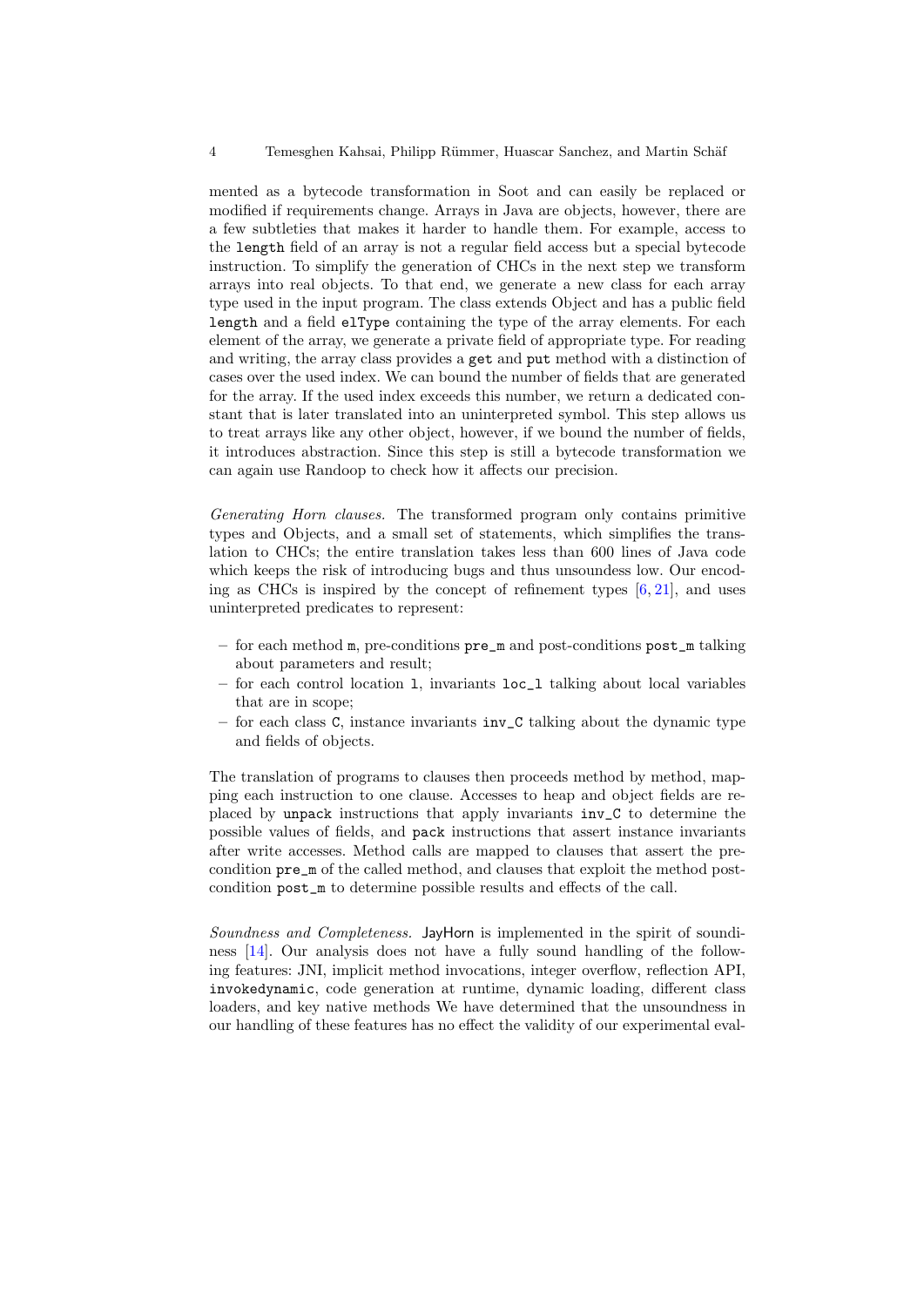mented as a bytecode transformation in Soot and can easily be replaced or modified if requirements change. Arrays in Java are objects, however, there are a few subtleties that makes it harder to handle them. For example, access to the length field of an array is not a regular field access but a special bytecode instruction. To simplify the generation of CHCs in the next step we transform arrays into real objects. To that end, we generate a new class for each array type used in the input program. The class extends Object and has a public field length and a field elType containing the type of the array elements. For each element of the array, we generate a private field of appropriate type. For reading and writing, the array class provides a get and put method with a distinction of cases over the used index. We can bound the number of fields that are generated for the array. If the used index exceeds this number, we return a dedicated constant that is later translated into an uninterpreted symbol. This step allows us to treat arrays like any other object, however, if we bound the number of fields, it introduces abstraction. Since this step is still a bytecode transformation we can again use Randoop to check how it affects our precision.

Generating Horn clauses. The transformed program only contains primitive types and Objects, and a small set of statements, which simplifies the translation to CHCs; the entire translation takes less than 600 lines of Java code which keeps the risk of introducing bugs and thus unsoundess low. Our encoding as CHCs is inspired by the concept of refinement types [\[6,](#page-6-9) [21\]](#page-6-10), and uses uninterpreted predicates to represent:

- for each method m, pre-conditions pre\_m and post-conditions post\_m talking about parameters and result;
- for each control location l, invariants loc\_l talking about local variables that are in scope;
- for each class  $C$ , instance invariants  $inv_C$  talking about the dynamic type and fields of objects.

The translation of programs to clauses then proceeds method by method, mapping each instruction to one clause. Accesses to heap and object fields are replaced by unpack instructions that apply invariants inv\_C to determine the possible values of fields, and pack instructions that assert instance invariants after write accesses. Method calls are mapped to clauses that assert the precondition pre\_m of the called method, and clauses that exploit the method postcondition post\_m to determine possible results and effects of the call.

Soundness and Completeness. JayHorn is implemented in the spirit of soundiness [\[14\]](#page-6-11). Our analysis does not have a fully sound handling of the following features: JNI, implicit method invocations, integer overflow, reflection API, invokedynamic, code generation at runtime, dynamic loading, different class loaders, and key native methods We have determined that the unsoundness in our handling of these features has no effect the validity of our experimental eval-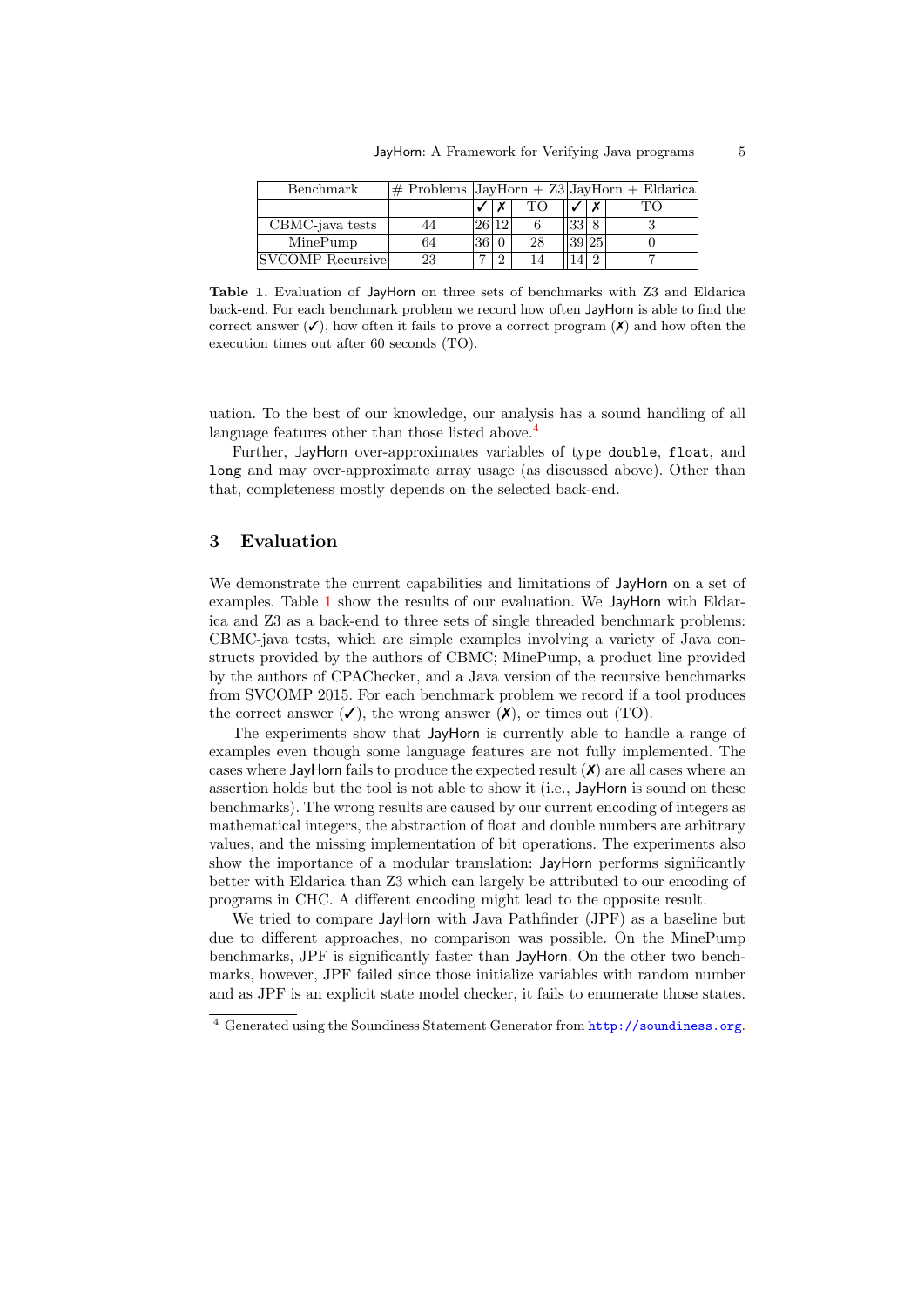| Benchmark        |    |    |          |    | $\#$ Problems JayHorn + Z3 JayHorn + Eldarica |       |  |
|------------------|----|----|----------|----|-----------------------------------------------|-------|--|
|                  |    |    |          | TО |                                               |       |  |
| CBMC-java tests  | 44 |    | 26 12    |    | 33                                            |       |  |
| MinePump         | 64 | 36 |          | 28 |                                               | 39 25 |  |
| SVCOMP Recursive | 23 |    | $\Omega$ | 14 |                                               |       |  |

<span id="page-4-2"></span>Table 1. Evaluation of JayHorn on three sets of benchmarks with Z3 and Eldarica back-end. For each benchmark problem we record how often JayHorn is able to find the correct answer  $(\checkmark)$ , how often it fails to prove a correct program  $(\checkmark)$  and how often the execution times out after 60 seconds (TO).

uation. To the best of our knowledge, our analysis has a sound handling of all language features other than those listed above.<sup>[4](#page-4-1)</sup>

Further, JayHorn over-approximates variables of type double, float, and long and may over-approximate array usage (as discussed above). Other than that, completeness mostly depends on the selected back-end.

#### <span id="page-4-0"></span>3 Evaluation

We demonstrate the current capabilities and limitations of JayHorn on a set of examples. Table [1](#page-4-2) show the results of our evaluation. We JayHorn with Eldarica and Z3 as a back-end to three sets of single threaded benchmark problems: CBMC-java tests, which are simple examples involving a variety of Java constructs provided by the authors of CBMC; MinePump, a product line provided by the authors of CPAChecker, and a Java version of the recursive benchmarks from SVCOMP 2015. For each benchmark problem we record if a tool produces the correct answer  $(\checkmark)$ , the wrong answer  $(\checkmark)$ , or times out (TO).

The experiments show that JayHorn is currently able to handle a range of examples even though some language features are not fully implemented. The cases where JayHorn fails to produce the expected result  $(X)$  are all cases where an assertion holds but the tool is not able to show it (i.e., JayHorn is sound on these benchmarks). The wrong results are caused by our current encoding of integers as mathematical integers, the abstraction of float and double numbers are arbitrary values, and the missing implementation of bit operations. The experiments also show the importance of a modular translation: JayHorn performs significantly better with Eldarica than Z3 which can largely be attributed to our encoding of programs in CHC. A different encoding might lead to the opposite result.

We tried to compare JayHorn with Java Pathfinder (JPF) as a baseline but due to different approaches, no comparison was possible. On the MinePump benchmarks, JPF is significantly faster than JayHorn. On the other two benchmarks, however, JPF failed since those initialize variables with random number and as JPF is an explicit state model checker, it fails to enumerate those states.

<span id="page-4-1"></span><sup>4</sup> Generated using the Soundiness Statement Generator from <http://soundiness.org>.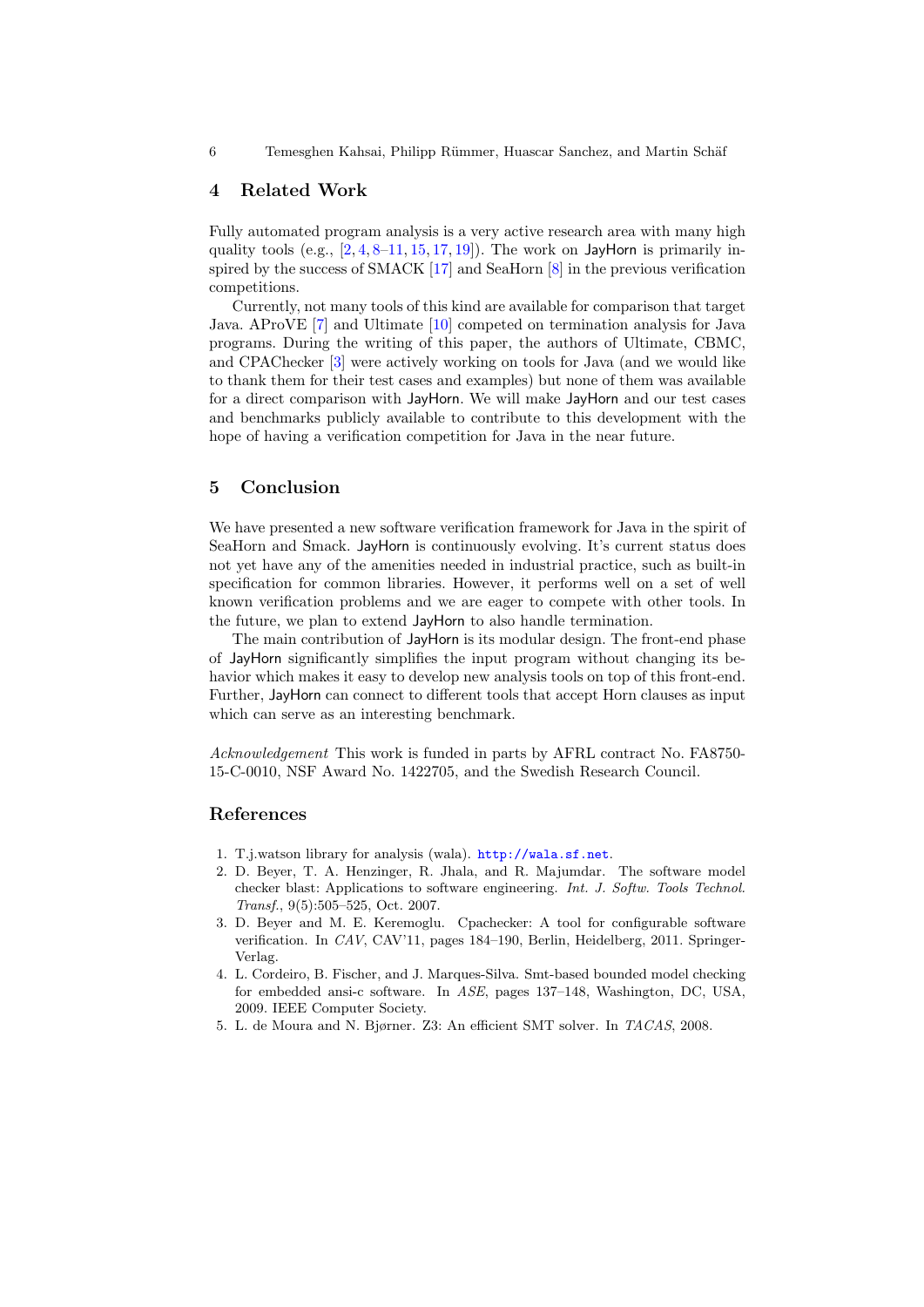6 Temesghen Kahsai, Philipp Rümmer, Huascar Sanchez, and Martin Schäf

#### 4 Related Work

Fully automated program analysis is a very active research area with many high quality tools (e.g.,  $[2, 4, 8-11, 15, 17, 19]$  $[2, 4, 8-11, 15, 17, 19]$  $[2, 4, 8-11, 15, 17, 19]$  $[2, 4, 8-11, 15, 17, 19]$  $[2, 4, 8-11, 15, 17, 19]$  $[2, 4, 8-11, 15, 17, 19]$  $[2, 4, 8-11, 15, 17, 19]$  $[2, 4, 8-11, 15, 17, 19]$  $[2, 4, 8-11, 15, 17, 19]$  $[2, 4, 8-11, 15, 17, 19]$  $[2, 4, 8-11, 15, 17, 19]$ ). The work on JayHorn is primarily inspired by the success of SMACK [\[17\]](#page-6-6) and SeaHorn [\[8\]](#page-6-7) in the previous verification competitions.

Currently, not many tools of this kind are available for comparison that target Java. AProVE [\[7\]](#page-6-14) and Ultimate [\[10\]](#page-6-15) competed on termination analysis for Java programs. During the writing of this paper, the authors of Ultimate, CBMC, and CPAChecker [\[3\]](#page-5-4) were actively working on tools for Java (and we would like to thank them for their test cases and examples) but none of them was available for a direct comparison with JayHorn. We will make JayHorn and our test cases and benchmarks publicly available to contribute to this development with the hope of having a verification competition for Java in the near future.

### 5 Conclusion

We have presented a new software verification framework for Java in the spirit of SeaHorn and Smack. JayHorn is continuously evolving. It's current status does not yet have any of the amenities needed in industrial practice, such as built-in specification for common libraries. However, it performs well on a set of well known verification problems and we are eager to compete with other tools. In the future, we plan to extend JayHorn to also handle termination.

The main contribution of JayHorn is its modular design. The front-end phase of JayHorn significantly simplifies the input program without changing its behavior which makes it easy to develop new analysis tools on top of this front-end. Further, JayHorn can connect to different tools that accept Horn clauses as input which can serve as an interesting benchmark.

Acknowledgement This work is funded in parts by AFRL contract No. FA8750- 15-C-0010, NSF Award No. 1422705, and the Swedish Research Council.

#### References

- <span id="page-5-0"></span>1. T.j.watson library for analysis (wala). <http://wala.sf.net>.
- <span id="page-5-2"></span>2. D. Beyer, T. A. Henzinger, R. Jhala, and R. Majumdar. The software model checker blast: Applications to software engineering. Int. J. Softw. Tools Technol. Transf., 9(5):505–525, Oct. 2007.
- <span id="page-5-4"></span>3. D. Beyer and M. E. Keremoglu. Cpachecker: A tool for configurable software verification. In CAV, CAV'11, pages 184–190, Berlin, Heidelberg, 2011. Springer-Verlag.
- <span id="page-5-3"></span>4. L. Cordeiro, B. Fischer, and J. Marques-Silva. Smt-based bounded model checking for embedded ansi-c software. In ASE, pages 137–148, Washington, DC, USA, 2009. IEEE Computer Society.
- <span id="page-5-1"></span>5. L. de Moura and N. Bjørner. Z3: An efficient SMT solver. In TACAS, 2008.